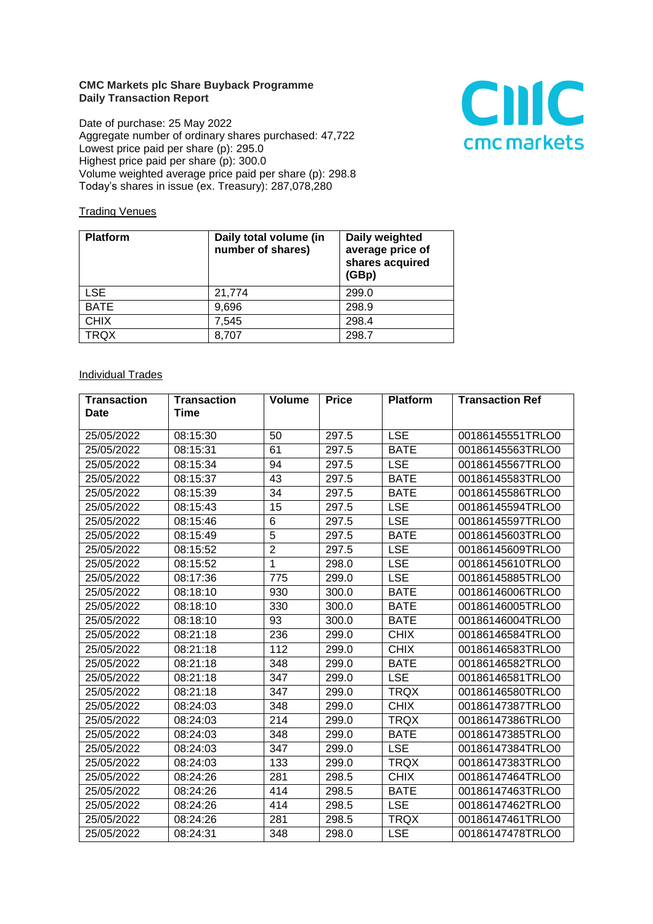## **CMC Markets plc Share Buyback Programme Daily Transaction Report**

Date of purchase: 25 May 2022 Aggregate number of ordinary shares purchased: 47,722 Lowest price paid per share (p): 295.0 Highest price paid per share (p): 300.0 Volume weighted average price paid per share (p): 298.8 Today's shares in issue (ex. Treasury): 287,078,280



## **Trading Venues**

| <b>Platform</b> | Daily total volume (in<br>number of shares) | Daily weighted<br>average price of<br>shares acquired<br>(GBp) |
|-----------------|---------------------------------------------|----------------------------------------------------------------|
| <b>LSE</b>      | 21,774                                      | 299.0                                                          |
| <b>BATE</b>     | 9,696                                       | 298.9                                                          |
| <b>CHIX</b>     | 7,545                                       | 298.4                                                          |
| <b>TRQX</b>     | 8,707                                       | 298.7                                                          |

## **Individual Trades**

| <b>Transaction</b> | <b>Transaction</b> | Volume         | <b>Price</b> | <b>Platform</b> | <b>Transaction Ref</b> |
|--------------------|--------------------|----------------|--------------|-----------------|------------------------|
| Date               | Time               |                |              |                 |                        |
| 25/05/2022         | 08:15:30           | 50             | 297.5        | <b>LSE</b>      | 00186145551TRLO0       |
| 25/05/2022         | 08:15:31           | 61             | 297.5        | <b>BATE</b>     | 00186145563TRLO0       |
| 25/05/2022         | 08:15:34           | 94             | 297.5        | <b>LSE</b>      | 00186145567TRLO0       |
| 25/05/2022         | 08:15:37           | 43             | 297.5        | <b>BATE</b>     | 00186145583TRLO0       |
| 25/05/2022         | 08:15:39           | 34             | 297.5        | <b>BATE</b>     | 00186145586TRLO0       |
| 25/05/2022         | 08:15:43           | 15             | 297.5        | <b>LSE</b>      | 00186145594TRLO0       |
| 25/05/2022         | 08:15:46           | 6              | 297.5        | <b>LSE</b>      | 00186145597TRLO0       |
| 25/05/2022         | 08:15:49           | 5              | 297.5        | <b>BATE</b>     | 00186145603TRLO0       |
| 25/05/2022         | 08:15:52           | $\overline{2}$ | 297.5        | <b>LSE</b>      | 00186145609TRLO0       |
| 25/05/2022         | 08:15:52           | $\mathbf{1}$   | 298.0        | <b>LSE</b>      | 00186145610TRLO0       |
| 25/05/2022         | 08:17:36           | 775            | 299.0        | <b>LSE</b>      | 00186145885TRLO0       |
| 25/05/2022         | 08:18:10           | 930            | 300.0        | <b>BATE</b>     | 00186146006TRLO0       |
| 25/05/2022         | 08:18:10           | 330            | 300.0        | <b>BATE</b>     | 00186146005TRLO0       |
| 25/05/2022         | 08:18:10           | 93             | 300.0        | <b>BATE</b>     | 00186146004TRLO0       |
| 25/05/2022         | 08:21:18           | 236            | 299.0        | <b>CHIX</b>     | 00186146584TRLO0       |
| 25/05/2022         | 08:21:18           | 112            | 299.0        | <b>CHIX</b>     | 00186146583TRLO0       |
| 25/05/2022         | 08:21:18           | 348            | 299.0        | <b>BATE</b>     | 00186146582TRLO0       |
| 25/05/2022         | 08:21:18           | 347            | 299.0        | <b>LSE</b>      | 00186146581TRLO0       |
| 25/05/2022         | 08:21:18           | 347            | 299.0        | <b>TRQX</b>     | 00186146580TRLO0       |
| 25/05/2022         | 08:24:03           | 348            | 299.0        | <b>CHIX</b>     | 00186147387TRLO0       |
| 25/05/2022         | 08:24:03           | 214            | 299.0        | <b>TRQX</b>     | 00186147386TRLO0       |
| 25/05/2022         | 08:24:03           | 348            | 299.0        | <b>BATE</b>     | 00186147385TRLO0       |
| 25/05/2022         | 08:24:03           | 347            | 299.0        | <b>LSE</b>      | 00186147384TRLO0       |
| 25/05/2022         | 08:24:03           | 133            | 299.0        | <b>TRQX</b>     | 00186147383TRLO0       |
| 25/05/2022         | 08:24:26           | 281            | 298.5        | <b>CHIX</b>     | 00186147464TRLO0       |
| 25/05/2022         | 08:24:26           | 414            | 298.5        | <b>BATE</b>     | 00186147463TRLO0       |
| 25/05/2022         | 08:24:26           | 414            | 298.5        | <b>LSE</b>      | 00186147462TRLO0       |
| 25/05/2022         | 08:24:26           | 281            | 298.5        | <b>TRQX</b>     | 00186147461TRLO0       |
| 25/05/2022         | 08:24:31           | 348            | 298.0        | <b>LSE</b>      | 00186147478TRLO0       |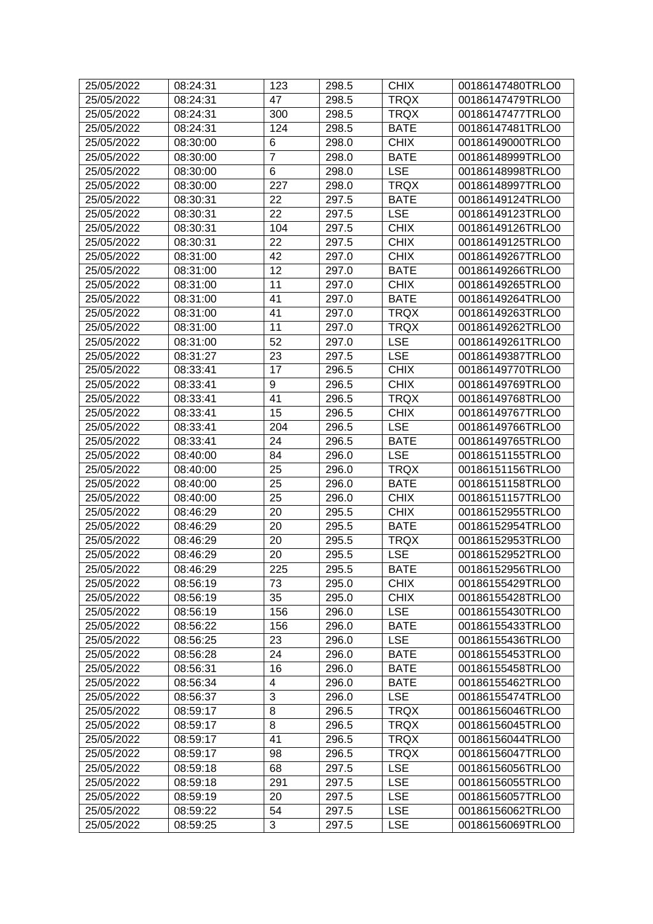| 25/05/2022 | 08:24:31             | 123             | 298.5          | <b>CHIX</b>               | 00186147480TRLO0 |
|------------|----------------------|-----------------|----------------|---------------------------|------------------|
| 25/05/2022 | 08:24:31             | 47              | 298.5          | <b>TRQX</b>               | 00186147479TRLO0 |
| 25/05/2022 | 08:24:31             | 300             | 298.5          | <b>TRQX</b>               | 00186147477TRLO0 |
| 25/05/2022 | 08:24:31             | 124             | 298.5          | <b>BATE</b>               | 00186147481TRLO0 |
| 25/05/2022 | 08:30:00             | 6               | 298.0          | <b>CHIX</b>               | 00186149000TRLO0 |
| 25/05/2022 | 08:30:00             | 7               | 298.0          | <b>BATE</b>               | 00186148999TRLO0 |
| 25/05/2022 | 08:30:00             | $6\phantom{1}6$ | 298.0          | <b>LSE</b>                | 00186148998TRLO0 |
| 25/05/2022 | 08:30:00             | 227             | 298.0          | <b>TRQX</b>               | 00186148997TRLO0 |
| 25/05/2022 | 08:30:31             | 22              | 297.5          | <b>BATE</b>               | 00186149124TRLO0 |
| 25/05/2022 | 08:30:31             | 22              | 297.5          | <b>LSE</b>                | 00186149123TRLO0 |
| 25/05/2022 | 08:30:31             | 104             | 297.5          | <b>CHIX</b>               | 00186149126TRLO0 |
| 25/05/2022 | 08:30:31             | 22              | 297.5          | <b>CHIX</b>               | 00186149125TRLO0 |
| 25/05/2022 | 08:31:00             | 42              | 297.0          | <b>CHIX</b>               | 00186149267TRLO0 |
| 25/05/2022 | 08:31:00             | 12              | 297.0          | <b>BATE</b>               | 00186149266TRLO0 |
| 25/05/2022 | 08:31:00             | 11              | 297.0          | <b>CHIX</b>               | 00186149265TRLO0 |
| 25/05/2022 | 08:31:00             | 41              | 297.0          | <b>BATE</b>               | 00186149264TRLO0 |
| 25/05/2022 | 08:31:00             | 41              | 297.0          | <b>TRQX</b>               | 00186149263TRLO0 |
| 25/05/2022 | 08:31:00             | 11              | 297.0          | <b>TRQX</b>               | 00186149262TRLO0 |
| 25/05/2022 | 08:31:00             | 52              | 297.0          | <b>LSE</b>                | 00186149261TRLO0 |
| 25/05/2022 | 08:31:27             | 23              | 297.5          | <b>LSE</b>                | 00186149387TRLO0 |
| 25/05/2022 | 08:33:41             | 17              | 296.5          | <b>CHIX</b>               | 00186149770TRLO0 |
| 25/05/2022 | 08:33:41             | 9               | 296.5          | <b>CHIX</b>               | 00186149769TRLO0 |
| 25/05/2022 | 08:33:41             | 41              | 296.5          | <b>TRQX</b>               | 00186149768TRLO0 |
| 25/05/2022 | 08:33:41             | 15              | 296.5          | <b>CHIX</b>               | 00186149767TRLO0 |
| 25/05/2022 | 08:33:41             | 204             | 296.5          | <b>LSE</b>                | 00186149766TRLO0 |
| 25/05/2022 | 08:33:41             | 24              | 296.5          | <b>BATE</b>               | 00186149765TRLO0 |
| 25/05/2022 | 08:40:00             | 84              | 296.0          | <b>LSE</b>                | 00186151155TRLO0 |
| 25/05/2022 | 08:40:00             | 25              | 296.0          | <b>TRQX</b>               | 00186151156TRLO0 |
| 25/05/2022 | 08:40:00             | 25              | 296.0          | <b>BATE</b>               | 00186151158TRLO0 |
| 25/05/2022 | 08:40:00             | 25              | 296.0          | <b>CHIX</b>               | 00186151157TRLO0 |
| 25/05/2022 | 08:46:29             | 20              | 295.5          | <b>CHIX</b>               | 00186152955TRLO0 |
| 25/05/2022 | 08:46:29             | 20              | 295.5          | <b>BATE</b>               | 00186152954TRLO0 |
| 25/05/2022 | 08:46:29             | 20              | 295.5          | <b>TRQX</b>               | 00186152953TRLO0 |
| 25/05/2022 | 08:46:29             | 20              | 295.5          | <b>LSE</b>                | 00186152952TRLO0 |
| 25/05/2022 | 08:46:29             | 225             | 295.5          | <b>BATE</b>               | 00186152956TRLO0 |
| 25/05/2022 | 08:56:19             | 73              | 295.0          | <b>CHIX</b>               | 00186155429TRLO0 |
|            |                      | 35              |                |                           |                  |
| 25/05/2022 | 08:56:19<br>08:56:19 | 156             | 295.0<br>296.0 | <b>CHIX</b><br><b>LSE</b> | 00186155428TRLO0 |
| 25/05/2022 |                      |                 |                |                           | 00186155430TRLO0 |
| 25/05/2022 | 08:56:22             | 156             | 296.0          | <b>BATE</b>               | 00186155433TRLO0 |
| 25/05/2022 | 08:56:25             | 23              | 296.0          | <b>LSE</b>                | 00186155436TRLO0 |
| 25/05/2022 | 08:56:28             | 24              | 296.0          | <b>BATE</b>               | 00186155453TRLO0 |
| 25/05/2022 | 08:56:31             | 16              | 296.0          | <b>BATE</b>               | 00186155458TRLO0 |
| 25/05/2022 | 08:56:34             | 4               | 296.0          | <b>BATE</b>               | 00186155462TRLO0 |
| 25/05/2022 | 08:56:37             | 3               | 296.0          | <b>LSE</b>                | 00186155474TRLO0 |
| 25/05/2022 | 08:59:17             | 8               | 296.5          | <b>TRQX</b>               | 00186156046TRLO0 |
| 25/05/2022 | 08:59:17             | 8               | 296.5          | <b>TRQX</b>               | 00186156045TRLO0 |
| 25/05/2022 | 08:59:17             | 41              | 296.5          | <b>TRQX</b>               | 00186156044TRLO0 |
| 25/05/2022 | 08:59:17             | 98              | 296.5          | <b>TRQX</b>               | 00186156047TRLO0 |
| 25/05/2022 | 08:59:18             | 68              | 297.5          | <b>LSE</b>                | 00186156056TRLO0 |
| 25/05/2022 | 08:59:18             | 291             | 297.5          | <b>LSE</b>                | 00186156055TRLO0 |
| 25/05/2022 | 08:59:19             | 20              | 297.5          | <b>LSE</b>                | 00186156057TRLO0 |
| 25/05/2022 | 08:59:22             | 54              | 297.5          | <b>LSE</b>                | 00186156062TRLO0 |
| 25/05/2022 | 08:59:25             | 3               | 297.5          | <b>LSE</b>                | 00186156069TRLO0 |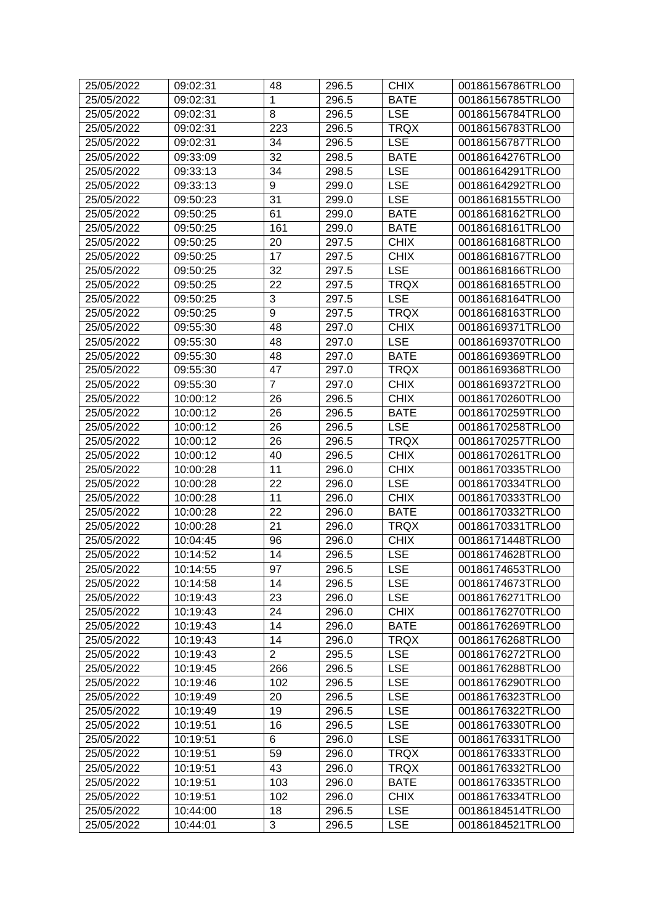| 25/05/2022 | 09:02:31 | 48             | 296.5 | <b>CHIX</b> | 00186156786TRLO0 |
|------------|----------|----------------|-------|-------------|------------------|
| 25/05/2022 | 09:02:31 | 1              | 296.5 | <b>BATE</b> | 00186156785TRLO0 |
| 25/05/2022 | 09:02:31 | 8              | 296.5 | <b>LSE</b>  | 00186156784TRLO0 |
| 25/05/2022 | 09:02:31 | 223            | 296.5 | <b>TRQX</b> | 00186156783TRLO0 |
| 25/05/2022 | 09:02:31 | 34             | 296.5 | <b>LSE</b>  | 00186156787TRLO0 |
| 25/05/2022 | 09:33:09 | 32             | 298.5 | <b>BATE</b> | 00186164276TRLO0 |
| 25/05/2022 | 09:33:13 | 34             | 298.5 | <b>LSE</b>  | 00186164291TRLO0 |
| 25/05/2022 | 09:33:13 | 9              | 299.0 | <b>LSE</b>  | 00186164292TRLO0 |
| 25/05/2022 | 09:50:23 | 31             | 299.0 | <b>LSE</b>  | 00186168155TRLO0 |
| 25/05/2022 | 09:50:25 | 61             | 299.0 | <b>BATE</b> | 00186168162TRLO0 |
| 25/05/2022 | 09:50:25 | 161            | 299.0 | <b>BATE</b> | 00186168161TRLO0 |
| 25/05/2022 | 09:50:25 | 20             | 297.5 | <b>CHIX</b> | 00186168168TRLO0 |
| 25/05/2022 | 09:50:25 | 17             | 297.5 | <b>CHIX</b> | 00186168167TRLO0 |
| 25/05/2022 | 09:50:25 | 32             | 297.5 | <b>LSE</b>  | 00186168166TRLO0 |
| 25/05/2022 | 09:50:25 | 22             | 297.5 | <b>TRQX</b> | 00186168165TRLO0 |
| 25/05/2022 | 09:50:25 | 3              | 297.5 | <b>LSE</b>  | 00186168164TRLO0 |
| 25/05/2022 | 09:50:25 | 9              | 297.5 | <b>TRQX</b> | 00186168163TRLO0 |
| 25/05/2022 | 09:55:30 | 48             | 297.0 | <b>CHIX</b> | 00186169371TRLO0 |
| 25/05/2022 | 09:55:30 | 48             | 297.0 | <b>LSE</b>  | 00186169370TRLO0 |
| 25/05/2022 | 09:55:30 | 48             | 297.0 | <b>BATE</b> | 00186169369TRLO0 |
| 25/05/2022 | 09:55:30 | 47             | 297.0 | <b>TRQX</b> | 00186169368TRLO0 |
| 25/05/2022 | 09:55:30 | $\overline{7}$ | 297.0 | <b>CHIX</b> | 00186169372TRLO0 |
| 25/05/2022 | 10:00:12 | 26             | 296.5 | <b>CHIX</b> | 00186170260TRLO0 |
| 25/05/2022 | 10:00:12 | 26             | 296.5 | <b>BATE</b> | 00186170259TRLO0 |
| 25/05/2022 | 10:00:12 | 26             | 296.5 | <b>LSE</b>  | 00186170258TRLO0 |
| 25/05/2022 | 10:00:12 | 26             | 296.5 | <b>TRQX</b> | 00186170257TRLO0 |
| 25/05/2022 | 10:00:12 | 40             | 296.5 | <b>CHIX</b> | 00186170261TRLO0 |
| 25/05/2022 | 10:00:28 | 11             | 296.0 | <b>CHIX</b> | 00186170335TRLO0 |
| 25/05/2022 | 10:00:28 | 22             | 296.0 | <b>LSE</b>  | 00186170334TRLO0 |
| 25/05/2022 | 10:00:28 | 11             | 296.0 | <b>CHIX</b> | 00186170333TRLO0 |
| 25/05/2022 | 10:00:28 | 22             | 296.0 | <b>BATE</b> | 00186170332TRLO0 |
| 25/05/2022 | 10:00:28 | 21             | 296.0 | <b>TRQX</b> | 00186170331TRLO0 |
| 25/05/2022 | 10:04:45 | 96             | 296.0 | <b>CHIX</b> | 00186171448TRLO0 |
| 25/05/2022 | 10:14:52 | 14             | 296.5 | <b>LSE</b>  | 00186174628TRLO0 |
| 25/05/2022 | 10:14:55 | 97             | 296.5 | <b>LSE</b>  | 00186174653TRLO0 |
| 25/05/2022 | 10:14:58 | 14             | 296.5 | <b>LSE</b>  | 00186174673TRLO0 |
| 25/05/2022 | 10:19:43 | 23             | 296.0 | <b>LSE</b>  | 00186176271TRLO0 |
| 25/05/2022 | 10:19:43 | 24             | 296.0 | <b>CHIX</b> | 00186176270TRLO0 |
| 25/05/2022 | 10:19:43 | 14             | 296.0 | <b>BATE</b> | 00186176269TRLO0 |
| 25/05/2022 | 10:19:43 | 14             | 296.0 | <b>TRQX</b> | 00186176268TRLO0 |
| 25/05/2022 | 10:19:43 | $\overline{2}$ | 295.5 | <b>LSE</b>  | 00186176272TRLO0 |
| 25/05/2022 | 10:19:45 | 266            | 296.5 | <b>LSE</b>  | 00186176288TRLO0 |
| 25/05/2022 | 10:19:46 | 102            | 296.5 | <b>LSE</b>  | 00186176290TRLO0 |
| 25/05/2022 | 10:19:49 | 20             | 296.5 | <b>LSE</b>  | 00186176323TRLO0 |
| 25/05/2022 | 10:19:49 | 19             | 296.5 | <b>LSE</b>  | 00186176322TRLO0 |
| 25/05/2022 | 10:19:51 | 16             | 296.5 | <b>LSE</b>  | 00186176330TRLO0 |
| 25/05/2022 | 10:19:51 | 6              | 296.0 | <b>LSE</b>  | 00186176331TRLO0 |
| 25/05/2022 | 10:19:51 | 59             | 296.0 | <b>TRQX</b> | 00186176333TRLO0 |
| 25/05/2022 | 10:19:51 | 43             | 296.0 | <b>TRQX</b> | 00186176332TRLO0 |
| 25/05/2022 | 10:19:51 | 103            | 296.0 | <b>BATE</b> | 00186176335TRLO0 |
| 25/05/2022 | 10:19:51 | 102            | 296.0 | <b>CHIX</b> | 00186176334TRLO0 |
| 25/05/2022 | 10:44:00 | 18             | 296.5 | <b>LSE</b>  | 00186184514TRLO0 |
|            |          | 3              |       |             |                  |
| 25/05/2022 | 10:44:01 |                | 296.5 | <b>LSE</b>  | 00186184521TRLO0 |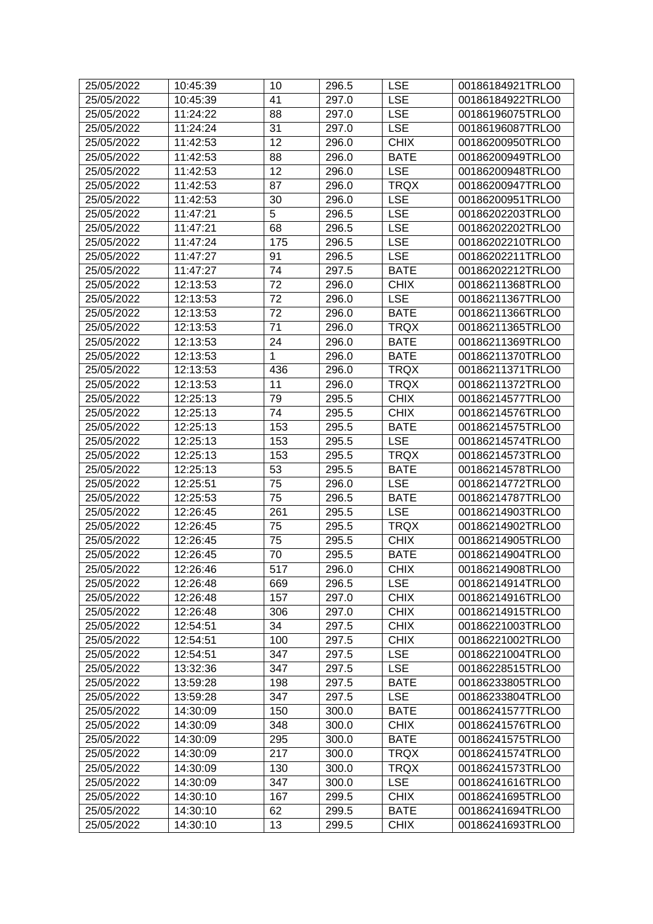| 25/05/2022 | 10:45:39 | 10  | 296.5 | <b>LSE</b>  | 00186184921TRLO0 |
|------------|----------|-----|-------|-------------|------------------|
| 25/05/2022 | 10:45:39 | 41  | 297.0 | <b>LSE</b>  | 00186184922TRLO0 |
| 25/05/2022 | 11:24:22 | 88  | 297.0 | <b>LSE</b>  | 00186196075TRLO0 |
| 25/05/2022 | 11:24:24 | 31  | 297.0 | <b>LSE</b>  | 00186196087TRLO0 |
| 25/05/2022 | 11:42:53 | 12  | 296.0 | <b>CHIX</b> | 00186200950TRLO0 |
| 25/05/2022 | 11:42:53 | 88  | 296.0 | <b>BATE</b> | 00186200949TRLO0 |
| 25/05/2022 | 11:42:53 | 12  | 296.0 | <b>LSE</b>  | 00186200948TRLO0 |
| 25/05/2022 | 11:42:53 | 87  | 296.0 | <b>TRQX</b> | 00186200947TRLO0 |
| 25/05/2022 | 11:42:53 | 30  | 296.0 | <b>LSE</b>  | 00186200951TRLO0 |
| 25/05/2022 | 11:47:21 | 5   | 296.5 | <b>LSE</b>  | 00186202203TRLO0 |
| 25/05/2022 | 11:47:21 | 68  | 296.5 | <b>LSE</b>  | 00186202202TRLO0 |
| 25/05/2022 | 11:47:24 | 175 | 296.5 | <b>LSE</b>  | 00186202210TRLO0 |
|            | 11:47:27 | 91  | 296.5 | <b>LSE</b>  |                  |
| 25/05/2022 |          |     |       |             | 00186202211TRLO0 |
| 25/05/2022 | 11:47:27 | 74  | 297.5 | <b>BATE</b> | 00186202212TRLO0 |
| 25/05/2022 | 12:13:53 | 72  | 296.0 | <b>CHIX</b> | 00186211368TRLO0 |
| 25/05/2022 | 12:13:53 | 72  | 296.0 | <b>LSE</b>  | 00186211367TRLO0 |
| 25/05/2022 | 12:13:53 | 72  | 296.0 | <b>BATE</b> | 00186211366TRLO0 |
| 25/05/2022 | 12:13:53 | 71  | 296.0 | <b>TRQX</b> | 00186211365TRLO0 |
| 25/05/2022 | 12:13:53 | 24  | 296.0 | <b>BATE</b> | 00186211369TRLO0 |
| 25/05/2022 | 12:13:53 | 1   | 296.0 | <b>BATE</b> | 00186211370TRLO0 |
| 25/05/2022 | 12:13:53 | 436 | 296.0 | <b>TRQX</b> | 00186211371TRLO0 |
| 25/05/2022 | 12:13:53 | 11  | 296.0 | <b>TRQX</b> | 00186211372TRLO0 |
| 25/05/2022 | 12:25:13 | 79  | 295.5 | <b>CHIX</b> | 00186214577TRLO0 |
| 25/05/2022 | 12:25:13 | 74  | 295.5 | <b>CHIX</b> | 00186214576TRLO0 |
| 25/05/2022 | 12:25:13 | 153 | 295.5 | <b>BATE</b> | 00186214575TRLO0 |
| 25/05/2022 | 12:25:13 | 153 | 295.5 | <b>LSE</b>  | 00186214574TRLO0 |
| 25/05/2022 | 12:25:13 | 153 | 295.5 | <b>TRQX</b> | 00186214573TRLO0 |
| 25/05/2022 | 12:25:13 | 53  | 295.5 | <b>BATE</b> | 00186214578TRLO0 |
| 25/05/2022 | 12:25:51 | 75  | 296.0 | <b>LSE</b>  | 00186214772TRLO0 |
| 25/05/2022 | 12:25:53 | 75  | 296.5 | <b>BATE</b> | 00186214787TRLO0 |
| 25/05/2022 | 12:26:45 | 261 | 295.5 | <b>LSE</b>  | 00186214903TRLO0 |
| 25/05/2022 | 12:26:45 | 75  | 295.5 | <b>TRQX</b> | 00186214902TRLO0 |
| 25/05/2022 | 12:26:45 | 75  | 295.5 | <b>CHIX</b> | 00186214905TRLO0 |
| 25/05/2022 | 12:26:45 | 70  | 295.5 | <b>BATE</b> | 00186214904TRLO0 |
| 25/05/2022 | 12:26:46 | 517 | 296.0 | <b>CHIX</b> | 00186214908TRLO0 |
| 25/05/2022 | 12:26:48 | 669 | 296.5 | <b>LSE</b>  | 00186214914TRLO0 |
| 25/05/2022 | 12:26:48 | 157 | 297.0 | <b>CHIX</b> | 00186214916TRLO0 |
| 25/05/2022 | 12:26:48 | 306 | 297.0 | <b>CHIX</b> | 00186214915TRLO0 |
| 25/05/2022 | 12:54:51 | 34  | 297.5 | <b>CHIX</b> | 00186221003TRLO0 |
| 25/05/2022 | 12:54:51 | 100 | 297.5 | <b>CHIX</b> | 00186221002TRLO0 |
| 25/05/2022 | 12:54:51 | 347 | 297.5 | <b>LSE</b>  | 00186221004TRLO0 |
| 25/05/2022 |          | 347 | 297.5 | <b>LSE</b>  | 00186228515TRLO0 |
| 25/05/2022 | 13:32:36 |     |       | <b>BATE</b> |                  |
|            | 13:59:28 | 198 | 297.5 |             | 00186233805TRLO0 |
| 25/05/2022 | 13:59:28 | 347 | 297.5 | <b>LSE</b>  | 00186233804TRLO0 |
| 25/05/2022 | 14:30:09 | 150 | 300.0 | <b>BATE</b> | 00186241577TRLO0 |
| 25/05/2022 | 14:30:09 | 348 | 300.0 | <b>CHIX</b> | 00186241576TRLO0 |
| 25/05/2022 | 14:30:09 | 295 | 300.0 | <b>BATE</b> | 00186241575TRLO0 |
| 25/05/2022 | 14:30:09 | 217 | 300.0 | <b>TRQX</b> | 00186241574TRLO0 |
| 25/05/2022 | 14:30:09 | 130 | 300.0 | <b>TRQX</b> | 00186241573TRLO0 |
| 25/05/2022 | 14:30:09 | 347 | 300.0 | <b>LSE</b>  | 00186241616TRLO0 |
| 25/05/2022 | 14:30:10 | 167 | 299.5 | <b>CHIX</b> | 00186241695TRLO0 |
| 25/05/2022 | 14:30:10 | 62  | 299.5 | <b>BATE</b> | 00186241694TRLO0 |
| 25/05/2022 | 14:30:10 | 13  | 299.5 | <b>CHIX</b> | 00186241693TRLO0 |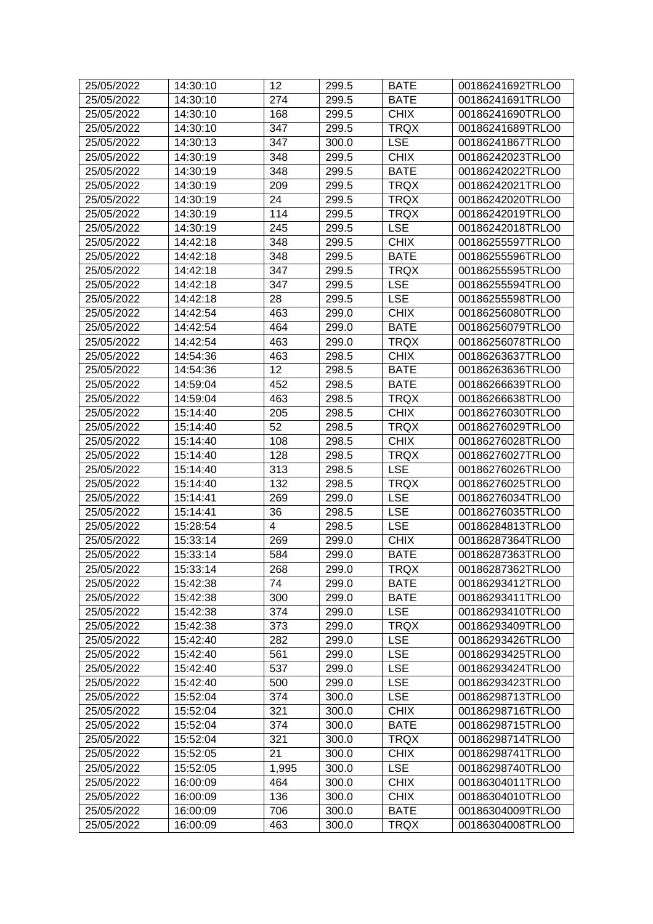| 25/05/2022 | 14:30:10 | 12                      | 299.5          | <b>BATE</b>               | 00186241692TRLO0                     |
|------------|----------|-------------------------|----------------|---------------------------|--------------------------------------|
| 25/05/2022 | 14:30:10 | 274                     | 299.5          | <b>BATE</b>               | 00186241691TRLO0                     |
| 25/05/2022 | 14:30:10 | 168                     | 299.5          | <b>CHIX</b>               | 00186241690TRLO0                     |
| 25/05/2022 | 14:30:10 | 347                     | 299.5          | <b>TRQX</b>               | 00186241689TRLO0                     |
| 25/05/2022 | 14:30:13 | 347                     | 300.0          | <b>LSE</b>                | 00186241867TRLO0                     |
| 25/05/2022 | 14:30:19 | 348                     | 299.5          | <b>CHIX</b>               | 00186242023TRLO0                     |
| 25/05/2022 | 14:30:19 | 348                     | 299.5          | <b>BATE</b>               | 00186242022TRLO0                     |
| 25/05/2022 | 14:30:19 | 209                     | 299.5          | <b>TRQX</b>               | 00186242021TRLO0                     |
| 25/05/2022 | 14:30:19 | 24                      | 299.5          | <b>TRQX</b>               | 00186242020TRLO0                     |
| 25/05/2022 | 14:30:19 | 114                     | 299.5          | <b>TRQX</b>               | 00186242019TRLO0                     |
| 25/05/2022 | 14:30:19 | 245                     | 299.5          | <b>LSE</b>                | 00186242018TRLO0                     |
| 25/05/2022 | 14:42:18 | 348                     | 299.5          | <b>CHIX</b>               | 00186255597TRLO0                     |
| 25/05/2022 | 14:42:18 | 348                     | 299.5          | <b>BATE</b>               | 00186255596TRLO0                     |
| 25/05/2022 | 14:42:18 | 347                     | 299.5          | <b>TRQX</b>               | 00186255595TRLO0                     |
| 25/05/2022 | 14:42:18 | 347                     | 299.5          | <b>LSE</b>                | 00186255594TRLO0                     |
| 25/05/2022 | 14:42:18 | 28                      | 299.5          | <b>LSE</b>                | 00186255598TRLO0                     |
| 25/05/2022 | 14:42:54 | 463                     | 299.0          | <b>CHIX</b>               | 00186256080TRLO0                     |
| 25/05/2022 | 14:42:54 | 464                     | 299.0          | <b>BATE</b>               | 00186256079TRLO0                     |
| 25/05/2022 | 14:42:54 | 463                     | 299.0          | <b>TRQX</b>               | 00186256078TRLO0                     |
| 25/05/2022 | 14:54:36 | 463                     | 298.5          | <b>CHIX</b>               | 00186263637TRLO0                     |
| 25/05/2022 | 14:54:36 | 12                      | 298.5          | <b>BATE</b>               | 00186263636TRLO0                     |
| 25/05/2022 | 14:59:04 | 452                     | 298.5          | <b>BATE</b>               | 00186266639TRLO0                     |
| 25/05/2022 | 14:59:04 | 463                     | 298.5          | <b>TRQX</b>               | 00186266638TRLO0                     |
| 25/05/2022 | 15:14:40 | 205                     | 298.5          | <b>CHIX</b>               | 00186276030TRLO0                     |
| 25/05/2022 | 15:14:40 | 52                      | 298.5          | <b>TRQX</b>               | 00186276029TRLO0                     |
| 25/05/2022 | 15:14:40 | 108                     | 298.5          | <b>CHIX</b>               | 00186276028TRLO0                     |
| 25/05/2022 | 15:14:40 | 128                     | 298.5          | <b>TRQX</b>               | 00186276027TRLO0                     |
| 25/05/2022 | 15:14:40 | 313                     | 298.5          | <b>LSE</b>                | 00186276026TRLO0                     |
| 25/05/2022 | 15:14:40 | 132                     | 298.5          | <b>TRQX</b>               | 00186276025TRLO0                     |
| 25/05/2022 | 15:14:41 | 269                     | 299.0          | <b>LSE</b>                | 00186276034TRLO0                     |
| 25/05/2022 | 15:14:41 | 36                      | 298.5          | <b>LSE</b>                | 00186276035TRLO0                     |
| 25/05/2022 | 15:28:54 | $\overline{\mathbf{4}}$ | 298.5          | <b>LSE</b>                | 00186284813TRLO0                     |
| 25/05/2022 | 15:33:14 | 269                     | 299.0          | <b>CHIX</b>               | 00186287364TRLO0                     |
| 25/05/2022 | 15:33:14 | 584                     | 299.0          | <b>BATE</b>               | 00186287363TRLO0                     |
| 25/05/2022 | 15:33:14 | 268                     | 299.0          | <b>TRQX</b>               | 00186287362TRLO0                     |
| 25/05/2022 | 15:42:38 | 74                      | 299.0          | <b>BATE</b>               | 00186293412TRLO0                     |
| 25/05/2022 | 15:42:38 | 300                     | 299.0          | <b>BATE</b>               | 00186293411TRLO0                     |
| 25/05/2022 | 15:42:38 | 374                     | 299.0          | <b>LSE</b>                | 00186293410TRLO0                     |
| 25/05/2022 | 15:42:38 | 373                     | 299.0          | <b>TRQX</b>               | 00186293409TRLO0                     |
| 25/05/2022 | 15:42:40 | 282                     | 299.0          | <b>LSE</b>                | 00186293426TRLO0                     |
| 25/05/2022 | 15:42:40 | 561                     | 299.0          | <b>LSE</b>                | 00186293425TRLO0                     |
| 25/05/2022 | 15:42:40 | 537                     | 299.0          | <b>LSE</b>                | 00186293424TRLO0                     |
| 25/05/2022 | 15:42:40 | 500                     | 299.0          | <b>LSE</b>                | 00186293423TRLO0                     |
| 25/05/2022 |          |                         |                |                           |                                      |
| 25/05/2022 | 15:52:04 | 374                     | 300.0<br>300.0 | <b>LSE</b><br><b>CHIX</b> | 00186298713TRLO0<br>00186298716TRLO0 |
|            | 15:52:04 | 321                     |                |                           |                                      |
| 25/05/2022 | 15:52:04 | 374                     | 300.0          | <b>BATE</b>               | 00186298715TRLO0                     |
| 25/05/2022 | 15:52:04 | 321                     | 300.0          | <b>TRQX</b>               | 00186298714TRLO0                     |
| 25/05/2022 | 15:52:05 | 21                      | 300.0          | <b>CHIX</b>               | 00186298741TRLO0                     |
| 25/05/2022 | 15:52:05 | 1,995                   | 300.0          | <b>LSE</b>                | 00186298740TRLO0                     |
| 25/05/2022 | 16:00:09 | 464                     | 300.0          | <b>CHIX</b>               | 00186304011TRLO0                     |
| 25/05/2022 | 16:00:09 | 136                     | 300.0          | <b>CHIX</b>               | 00186304010TRLO0                     |
| 25/05/2022 | 16:00:09 | 706                     | 300.0          | <b>BATE</b>               | 00186304009TRLO0                     |
| 25/05/2022 | 16:00:09 | 463                     | 300.0          | <b>TRQX</b>               | 00186304008TRLO0                     |